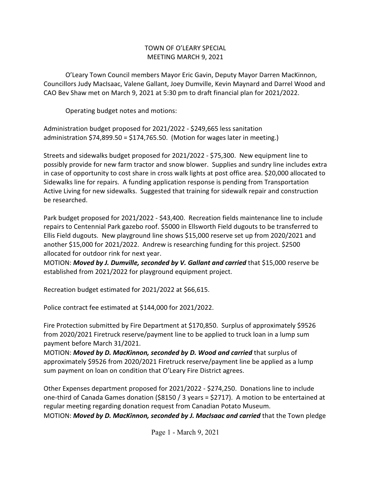## TOWN OF O'LEARY SPECIAL MEETING MARCH 9, 2021

O'Leary Town Council members Mayor Eric Gavin, Deputy Mayor Darren MacKinnon, Councillors Judy MacIsaac, Valene Gallant, Joey Dumville, Kevin Maynard and Darrel Wood and CAO Bev Shaw met on March 9, 2021 at 5:30 pm to draft financial plan for 2021/2022.

Operating budget notes and motions:

Administration budget proposed for 2021/2022 - \$249,665 less sanitation administration \$74,899.50 = \$174,765.50. (Motion for wages later in meeting.)

Streets and sidewalks budget proposed for 2021/2022 - \$75,300. New equipment line to possibly provide for new farm tractor and snow blower. Supplies and sundry line includes extra in case of opportunity to cost share in cross walk lights at post office area. \$20,000 allocated to Sidewalks line for repairs. A funding application response is pending from Transportation Active Living for new sidewalks. Suggested that training for sidewalk repair and construction be researched.

Park budget proposed for 2021/2022 - \$43,400. Recreation fields maintenance line to include repairs to Centennial Park gazebo roof. \$5000 in Ellsworth Field dugouts to be transferred to Ellis Field dugouts. New playground line shows \$15,000 reserve set up from 2020/2021 and another \$15,000 for 2021/2022. Andrew is researching funding for this project. \$2500 allocated for outdoor rink for next year.

MOTION: *Moved by J. Dumville, seconded by V. Gallant and carried* that \$15,000 reserve be established from 2021/2022 for playground equipment project.

Recreation budget estimated for 2021/2022 at \$66,615.

Police contract fee estimated at \$144,000 for 2021/2022.

Fire Protection submitted by Fire Department at \$170,850. Surplus of approximately \$9526 from 2020/2021 Firetruck reserve/payment line to be applied to truck loan in a lump sum payment before March 31/2021.

MOTION: *Moved by D. MacKinnon, seconded by D. Wood and carried* that surplus of approximately \$9526 from 2020/2021 Firetruck reserve/payment line be applied as a lump sum payment on loan on condition that O'Leary Fire District agrees.

Other Expenses department proposed for 2021/2022 - \$274,250. Donations line to include one-third of Canada Games donation (\$8150 / 3 years = \$2717). A motion to be entertained at regular meeting regarding donation request from Canadian Potato Museum.

MOTION: *Moved by D. MacKinnon, seconded by J. MacIsaac and carried* that the Town pledge